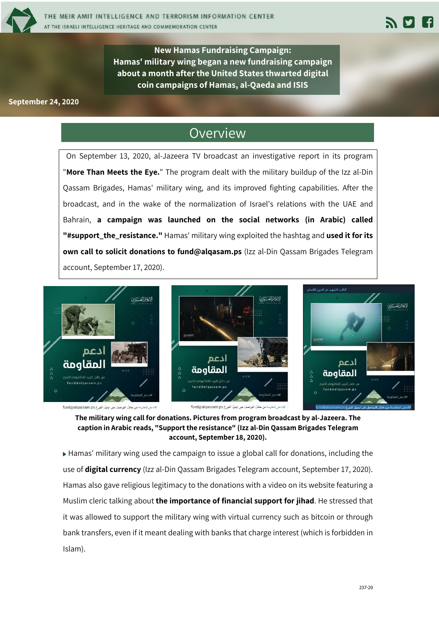

**New Hamas Fundraising Campaign: Hamas' military wing began a new fundraising campaign about a month after the United States thwarted digital coin campaigns of Hamas, al-Qaeda and ISIS** 

**September 24, 2020**

### Overview

 On September 13, 2020, al-Jazeera TV broadcast an investigative report in its program "**More Than Meets the Eye.**" The program dealt with the military buildup of the Izz al-Din Qassam Brigades, Hamas' military wing, and its improved fighting capabilities. After the broadcast, and in the wake of the normalization of Israel's relations with the UAE and Bahrain, **a campaign was launched on the social networks (in Arabic) called "#support\_the\_resistance."** Hamas' military wing exploited the hashtag and **used it for its own call to solicit donations to fund@alqasam.ps** (Izz al-Din Qassam Brigades Telegram account, September 17, 2020).











**The military wing call for donations. Pictures from program broadcast by al-Jazeera. The caption in Arabic reads, "Support the resistance" (Izz al-Din Qassam Brigades Telegram account, September 18, 2020).**

Hamas' military wing used the campaign to issue a global call for donations, including the use of **digital currency** (Izz al-Din Qassam Brigades Telegram account, September 17, 2020). Hamas also gave religious legitimacy to the donations with a video on its website featuring a Muslim cleric talking about **the importance of financial support for jihad**. He stressed that it was allowed to support the military wing with virtual currency such as bitcoin or through bank transfers, even if it meant dealing with banks that charge interest (which is forbidden in Islam).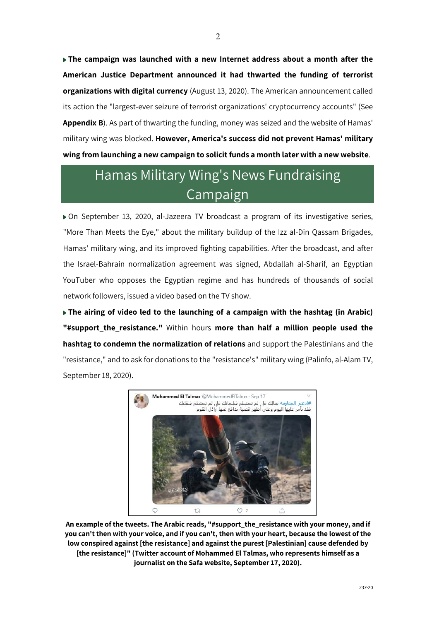**The campaign was launched with a new Internet address about a month after the American Justice Department announced it had thwarted the funding of terrorist organizations with digital currency** (August 13, 2020). The American announcement called its action the "largest-ever seizure of terrorist organizations' cryptocurrency accounts" (See **Appendix B**). As part of thwarting the funding, money was seized and the website of Hamas' military wing was blocked. **However, America's success did not prevent Hamas' military wing from launching a new campaign to solicit funds a month later with a new website**.

# Hamas Military Wing's News Fundraising Campaign

On September 13, 2020, al-Jazeera TV broadcast a program of its investigative series, "More Than Meets the Eye," about the military buildup of the Izz al-Din Qassam Brigades, Hamas' military wing, and its improved fighting capabilities. After the broadcast, and after the Israel-Bahrain normalization agreement was signed, Abdallah al-Sharif, an Egyptian YouTuber who opposes the Egyptian regime and has hundreds of thousands of social network followers, issued a video based on the TV show.

**The airing of video led to the launching of a campaign with the hashtag (in Arabic) "#support\_the\_resistance."** Within hours **more than half a million people used the hashtag to condemn the normalization of relations** and support the Palestinians and the "resistance," and to ask for donations to the "resistance's" military wing (Palinfo, al-Alam TV, September 18, 2020).



**An example of the tweets. The Arabic reads, "#support\_the\_resistance with your money, and if you can't then with your voice, and if you can't, then with your heart, because the lowest of the low conspired against [the resistance] and against the purest [Palestinian] cause defended by [the resistance]" (Twitter account of Mohammed El Talmas, who represents himself as a journalist on the Safa website, September 17, 2020).**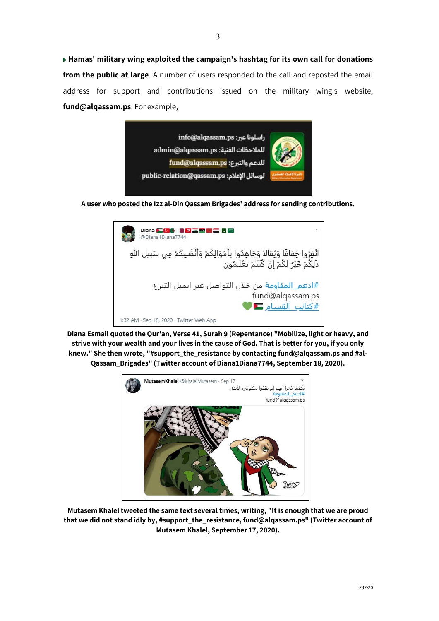**Hamas' military wing exploited the campaign's hashtag for its own call for donations from the public at large**. A number of users responded to the call and reposted the email address for support and contributions issued on the military wing's website, **fund@alqassam.ps**. For example,



**A user who posted the Izz al-Din Qassam Brigades' address for sending contributions.**



**Diana Esmail quoted the Qur'an, Verse 41, Surah 9 (Repentance) "Mobilize, light or heavy, and strive with your wealth and your lives in the cause of God. That is better for you, if you only knew." She then wrote, "#support\_the\_resistance by contacting fund@alqassam.ps and #al-Qassam\_Brigades" (Twitter account of Diana1Diana7744, September 18, 2020).**



**Mutasem Khalel tweeted the same text several times, writing, "It is enough that we are proud that we did not stand idly by, #support\_the\_resistance, fund@alqassam.ps" (Twitter account of Mutasem Khalel, September 17, 2020).**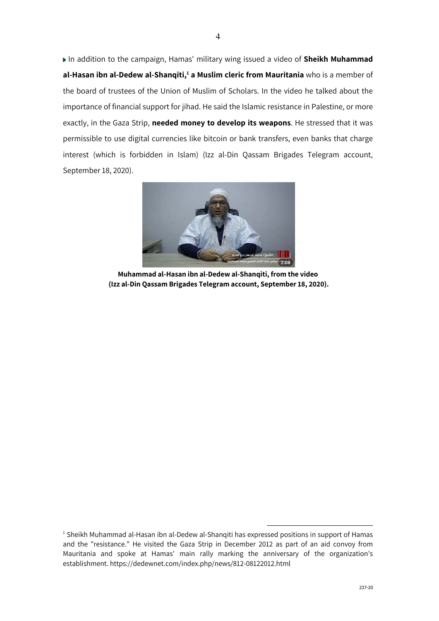In addition to the campaign, Hamas' military wing issued a video of **Sheikh Muhammad**  al-Hasan ibn al-Dedew al-Shanqiti,<sup>1</sup> a Muslim cleric from Mauritania who is a member of the board of trustees of the Union of Muslim of Scholars. In the video he talked about the importance of financial support for jihad. He said the Islamic resistance in Palestine, or more exactly, in the Gaza Strip, **needed money to develop its weapons**. He stressed that it was permissible to use digital currencies like bitcoin or bank transfers, even banks that charge interest (which is forbidden in Islam) (Izz al-Din Qassam Brigades Telegram account, September 18, 2020).



**Muhammad al-Hasan ibn al-Dedew al-Shanqiti, from the video (Izz al-Din Qassam Brigades Telegram account, September 18, 2020).**

 $1$  Sheikh Muhammad al-Hasan ibn al-Dedew al-Shangiti has expressed positions in support of Hamas and the "resistance." He visited the Gaza Strip in December 2012 as part of an aid convoy from Mauritania and spoke at Hamas' main rally marking the anniversary of the organization's establishment. https://dedewnet.com/index.php/news/812-08122012.html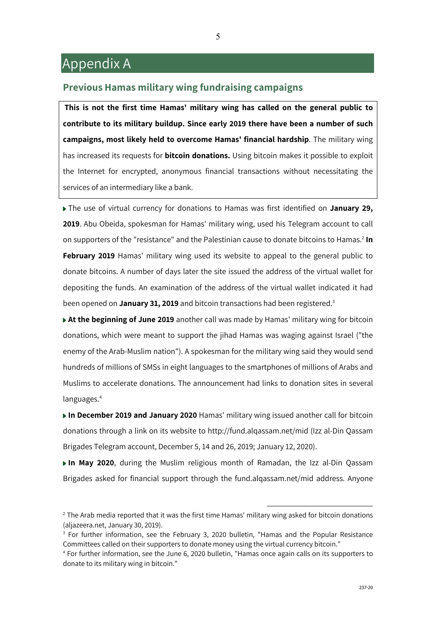## Appendix A

#### **Previous Hamas military wing fundraising campaigns**

**This is not the first time Hamas' military wing has called on the general public to contribute to its military buildup. Since early 2019 there have been a number of such campaigns, most likely held to overcome Hamas' financial hardship**. The military wing has increased its requests for **bitcoin donations.** Using bitcoin makes it possible to exploit the Internet for encrypted, anonymous financial transactions without necessitating the services of an intermediary like a bank.

The use of virtual currency for donations to Hamas was first identified on **January 29, 2019**. Abu Obeida, spokesman for Hamas' military wing, used his Telegram account to call on supporters of the "resistance" and the Palestinian cause to donate bitcoins to Hamas.<sup>2</sup> In **February 2019** Hamas' military wing used its website to appeal to the general public to donate bitcoins. A number of days later the site issued the address of the virtual wallet for depositing the funds. An examination of the address of the virtual wallet indicated it had been opened on **January 31, 2019** and bitcoin transactions had been registered.<sup>3</sup>

**At the beginning of June 2019** another call was made by Hamas' military wing for bitcoin donations, which were meant to support the jihad Hamas was waging against Israel ("the enemy of the Arab-Muslim nation"). A spokesman for the military wing said they would send hundreds of millions of SMSs in eight languages to the smartphones of millions of Arabs and Muslims to accelerate donations. The announcement had links to donation sites in several languages.<sup>4</sup>

**In December 2019 and January 2020** Hamas' military wing issued another call for bitcoin donations through a link on its website to http://fund.alqassam.net/mid (Izz al-Din Qassam Brigades Telegram account, December 5, 14 and 26, 2019; January 12, 2020).

**In May 2020**, during the Muslim religious month of Ramadan, the Izz al-Din Qassam Brigades asked for financial support through the fund.alqassam.net/mid address. Anyone

 $<sup>2</sup>$  The Arab media reported that it was the first time Hamas' military wing asked for bitcoin donations</sup> (aljazeera.net, January 30, 2019).

 $3$  For further information, see the February 3, 2020 bulletin, "Hamas and the Popular Resistance Committees called on their supporters to donate money using the virtual currency bitcoin."

<sup>4</sup> For further information, see the June 6, 2020 bulletin, "Hamas once again calls on its supporters to donate to its military wing in bitcoin."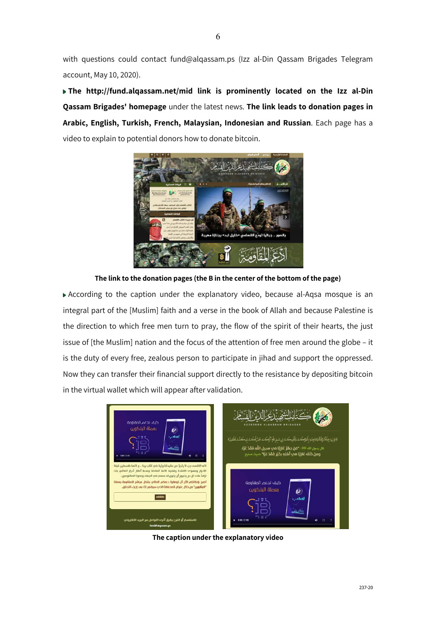with questions could contact fund@alqassam.ps (Izz al-Din Qassam Brigades Telegram account, May 10, 2020).

**The http://fund.alqassam.net/mid link is prominently located on the Izz al-Din Qassam Brigades' homepage** under the latest news. **The link leads to donation pages in Arabic, English, Turkish, French, Malaysian, Indonesian and Russian**. Each page has a video to explain to potential donors how to donate bitcoin.



**The link to the donation pages (the B in the center of the bottom of the page)**

According to the caption under the explanatory video, because al-Aqsa mosque is an integral part of the [Muslim] faith and a verse in the book of Allah and because Palestine is the direction to which free men turn to pray, the flow of the spirit of their hearts, the just issue of [the Muslim] nation and the focus of the attention of free men around the globe – it is the duty of every free, zealous person to participate in jihad and support the oppressed. Now they can transfer their financial support directly to the resistance by depositing bitcoin in the virtual wallet which will appear after validation.



**The caption under the explanatory video**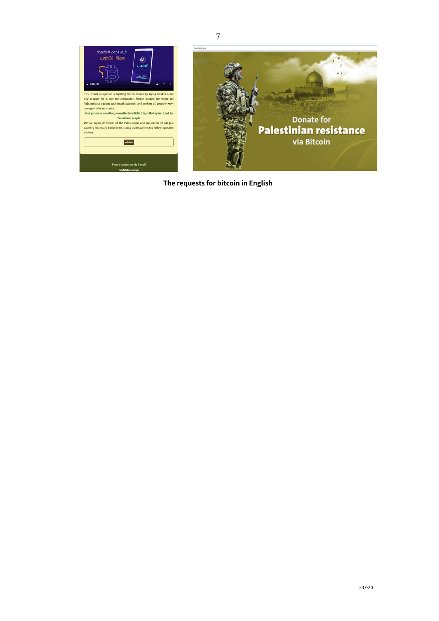

**The requests for bitcoin in English**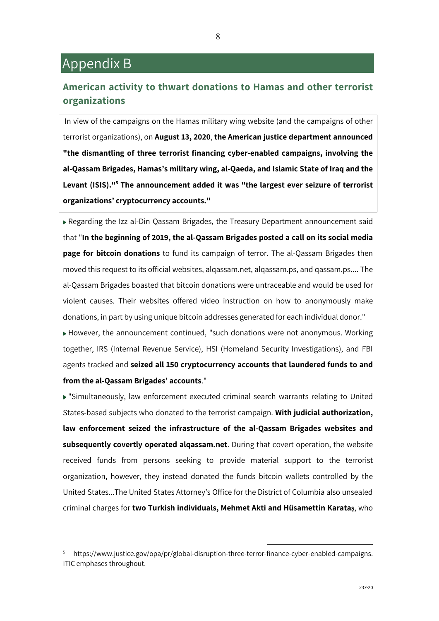## Appendix B

### **American activity to thwart donations to Hamas and other terrorist organizations**

In view of the campaigns on the Hamas military wing website (and the campaigns of other terrorist organizations), on **August 13, 2020**, **the American justice department announced "the dismantling of three terrorist financing cyber-enabled campaigns, involving the al-Qassam Brigades, Hamas's military wing, al-Qaeda, and Islamic State of Iraq and the Levant (ISIS)."5 The announcement added it was "the largest ever seizure of terrorist organizations' cryptocurrency accounts."**

Regarding the Izz al-Din Qassam Brigades, the Treasury Department announcement said that "**In the beginning of 2019, the al-Qassam Brigades posted a call on its social media page for bitcoin donations** to fund its campaign of terror. The al-Qassam Brigades then moved this request to its official websites, alqassam.net, alqassam.ps, and qassam.ps.... The al-Qassam Brigades boasted that bitcoin donations were untraceable and would be used for violent causes. Their websites offered video instruction on how to anonymously make donations, in part by using unique bitcoin addresses generated for each individual donor."

However, the announcement continued, "such donations were not anonymous. Working together, IRS (Internal Revenue Service), HSI (Homeland Security Investigations), and FBI agents tracked and **seized all 150 cryptocurrency accounts that laundered funds to and from the al-Qassam Brigades' accounts**."

"Simultaneously, law enforcement executed criminal search warrants relating to United States-based subjects who donated to the terrorist campaign. **With judicial authorization, law enforcement seized the infrastructure of the al-Qassam Brigades websites and subsequently covertly operated alqassam.net**. During that covert operation, the website received funds from persons seeking to provide material support to the terrorist organization, however, they instead donated the funds bitcoin wallets controlled by the United States...The United States Attorney's Office for the District of Columbia also unsealed criminal charges for **two Turkish individuals, Mehmet Akti and Hüsamettin Karataş**, who

<sup>5</sup> https://www.justice.gov/opa/pr/global-disruption-three-terror-finance-cyber-enabled-campaigns. ITIC emphases throughout.